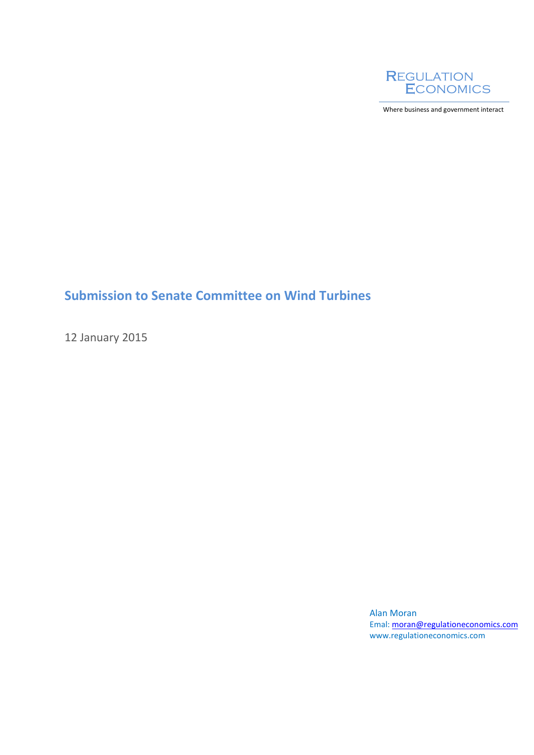

Where business and government interact

## **Submission to Senate Committee on Wind Turbines**

12 January 2015

Alan Moran Emal: [moran@regulationeconomics.com](mailto:moran@regulationeconomics.com) www.regulationeconomics.com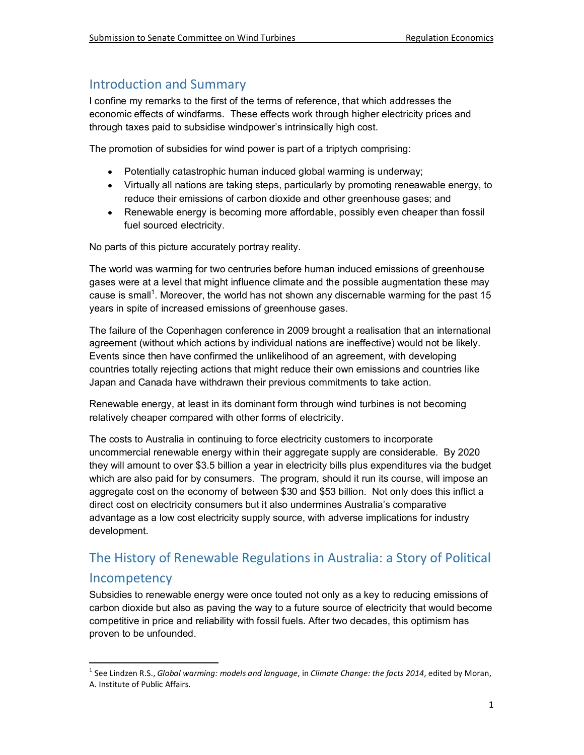## Introduction and Summary

I confine my remarks to the first of the terms of reference, that which addresses the economic effects of windfarms. These effects work through higher electricity prices and through taxes paid to subsidise windpower's intrinsically high cost.

The promotion of subsidies for wind power is part of a triptych comprising:

- Potentially catastrophic human induced global warming is underway;
- Virtually all nations are taking steps, particularly by promoting reneawable energy, to reduce their emissions of carbon dioxide and other greenhouse gases; and
- Renewable energy is becoming more affordable, possibly even cheaper than fossil fuel sourced electricity.

No parts of this picture accurately portray reality.

The world was warming for two centruries before human induced emissions of greenhouse gases were at a level that might influence climate and the possible augmentation these may cause is small<sup>1</sup>. Moreover, the world has not shown any discernable warming for the past 15 years in spite of increased emissions of greenhouse gases.

The failure of the Copenhagen conference in 2009 brought a realisation that an international agreement (without which actions by individual nations are ineffective) would not be likely. Events since then have confirmed the unlikelihood of an agreement, with developing countries totally rejecting actions that might reduce their own emissions and countries like Japan and Canada have withdrawn their previous commitments to take action.

Renewable energy, at least in its dominant form through wind turbines is not becoming relatively cheaper compared with other forms of electricity.

The costs to Australia in continuing to force electricity customers to incorporate uncommercial renewable energy within their aggregate supply are considerable. By 2020 they will amount to over \$3.5 billion a year in electricity bills plus expenditures via the budget which are also paid for by consumers. The program, should it run its course, will impose an aggregate cost on the economy of between \$30 and \$53 billion. Not only does this inflict a direct cost on electricity consumers but it also undermines Australia's comparative advantage as a low cost electricity supply source, with adverse implications for industry development.

# The History of Renewable Regulations in Australia: a Story of Political

## **Incompetency**

1

Subsidies to renewable energy were once touted not only as a key to reducing emissions of carbon dioxide but also as paving the way to a future source of electricity that would become competitive in price and reliability with fossil fuels. After two decades, this optimism has proven to be unfounded.

<sup>1</sup> See Lindzen R.S., *Global warming: models and language*, in *Climate Change: the facts 2014*, edited by Moran, A. Institute of Public Affairs.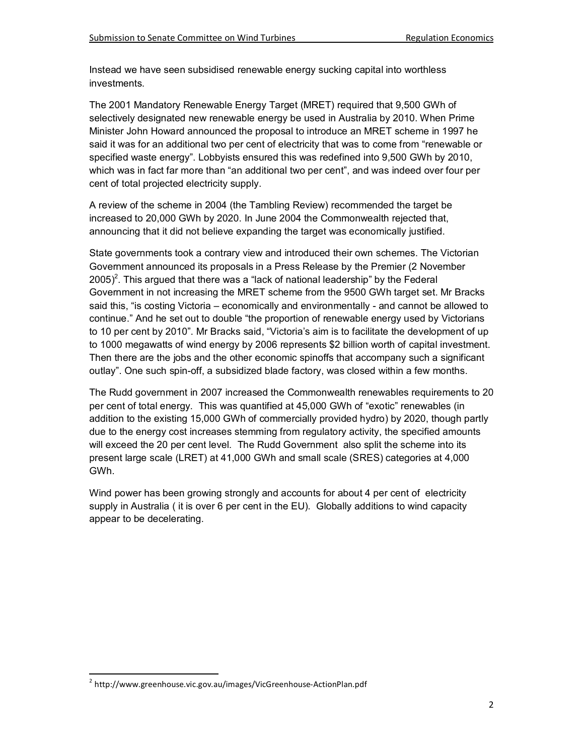Instead we have seen subsidised renewable energy sucking capital into worthless investments.

The 2001 Mandatory Renewable Energy Target (MRET) required that 9,500 GWh of selectively designated new renewable energy be used in Australia by 2010. When Prime Minister John Howard announced the proposal to introduce an MRET scheme in 1997 he said it was for an additional two per cent of electricity that was to come from "renewable or specified waste energy". Lobbyists ensured this was redefined into 9,500 GWh by 2010, which was in fact far more than "an additional two per cent", and was indeed over four per cent of total projected electricity supply.

A review of the scheme in 2004 (the Tambling Review) recommended the target be increased to 20,000 GWh by 2020. In June 2004 the Commonwealth rejected that, announcing that it did not believe expanding the target was economically justified.

State governments took a contrary view and introduced their own schemes. The Victorian Government announced its proposals in a Press Release by the Premier (2 November  $2005)^2$ . This argued that there was a "lack of national leadership" by the Federal Government in not increasing the MRET scheme from the 9500 GWh target set. Mr Bracks said this, "is costing Victoria – economically and environmentally - and cannot be allowed to continue." And he set out to double "the proportion of renewable energy used by Victorians to 10 per cent by 2010". Mr Bracks said, "Victoria's aim is to facilitate the development of up to 1000 megawatts of wind energy by 2006 represents \$2 billion worth of capital investment. Then there are the jobs and the other economic spinoffs that accompany such a significant outlay". One such spin-off, a subsidized blade factory, was closed within a few months.

The Rudd government in 2007 increased the Commonwealth renewables requirements to 20 per cent of total energy. This was quantified at 45,000 GWh of "exotic" renewables (in addition to the existing 15,000 GWh of commercially provided hydro) by 2020, though partly due to the energy cost increases stemming from regulatory activity, the specified amounts will exceed the 20 per cent level. The Rudd Government also split the scheme into its present large scale (LRET) at 41,000 GWh and small scale (SRES) categories at 4,000 GWh.

Wind power has been growing strongly and accounts for about 4 per cent of electricity supply in Australia ( it is over 6 per cent in the EU). Globally additions to wind capacity appear to be decelerating.

1

<sup>&</sup>lt;sup>2</sup> http://www.greenhouse.vic.gov.au/images/VicGreenhouse-ActionPlan.pdf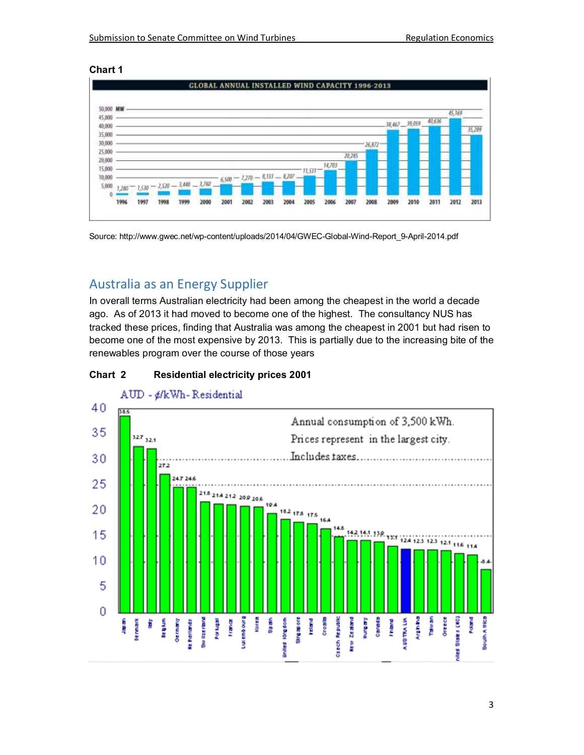## **Chart 1**



Source: http://www.gwec.net/wp-content/uploads/2014/04/GWEC-Global-Wind-Report\_9-April-2014.pdf

## Australia as an Energy Supplier

In overall terms Australian electricity had been among the cheapest in the world a decade ago. As of 2013 it had moved to become one of the highest. The consultancy NUS has tracked these prices, finding that Australia was among the cheapest in 2001 but had risen to become one of the most expensive by 2013. This is partially due to the increasing bite of the renewables program over the course of those years





AUD - ¢/kWh-Residential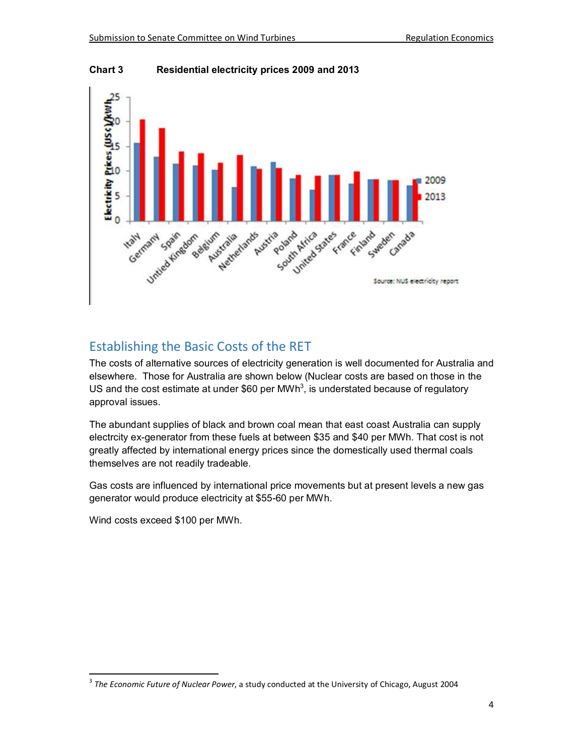

**Chart 3 Residential electricity prices 2009 and 2013** 

## Establishing the Basic Costs of the RET

The costs of alternative sources of electricity generation is well documented for Australia and elsewhere. Those for Australia are shown below (Nuclear costs are based on those in the US and the cost estimate at under \$60 per MWh<sup>3</sup>, is understated because of regulatory approval issues.

The abundant supplies of black and brown coal mean that east coast Australia can supply electrcity ex-generator from these fuels at between \$35 and \$40 per MWh. That cost is not greatly affected by international energy prices since the domestically used thermal coals themselves are not readily tradeable.

Gas costs are influenced by international price movements but at present levels a new gas generator would produce electricity at \$55-60 per MWh.

Wind costs exceed \$100 per MWh.

1

<sup>3</sup> *The Economic Future of Nuclear Power*, a study conducted at the University of Chicago, August 2004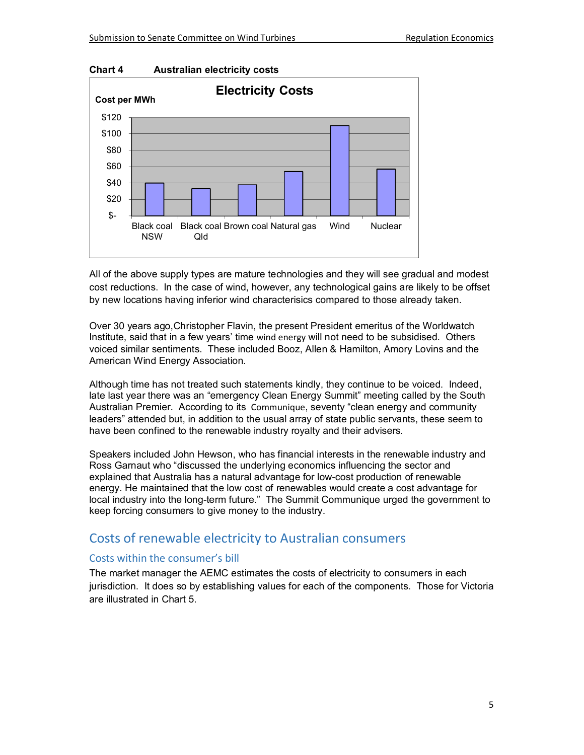

All of the above supply types are mature technologies and they will see gradual and modest cost reductions. In the case of wind, however, any technological gains are likely to be offset by new locations having inferior wind characterisics compared to those already taken.

Over 30 years ago,Christopher Flavin, the present President emeritus of the Worldwatch Institute, said that in a few years' time [wind energy](http://instituteforenergyresearch.org/studies/will-renewables-become-cost-competitive-anytime-soon-the-siren-song-of-wind-and-solar-energy/) will not need to be subsidised. Others voiced similar sentiments. These included Booz, Allen & Hamilton, Amory Lovins and the American Wind Energy Association.

Although time has not treated such statements kindly, they continue to be voiced. Indeed, late last year there was an "emergency Clean Energy Summit" meeting called by the South Australian Premier. According to its [Communique](http://catallaxyfiles.com/files/2014/12/SA-Clean-Energy-Summit-Communique.pdf), seventy "clean energy and community leaders" attended but, in addition to the usual array of state public servants, these seem to have been confined to the renewable industry royalty and their advisers.

Speakers included John Hewson, who has financial interests in the renewable industry and Ross Garnaut who "discussed the underlying economics influencing the sector and explained that Australia has a natural advantage for low-cost production of renewable energy. He maintained that the low cost of renewables would create a cost advantage for local industry into the long-term future." The Summit Communique urged the government to keep forcing consumers to give money to the industry.

## Costs of renewable electricity to Australian consumers

## Costs within the consumer's bill

The market manager the AEMC estimates the costs of electricity to consumers in each jurisdiction. It does so by establishing values for each of the components. Those for Victoria are illustrated in Chart 5.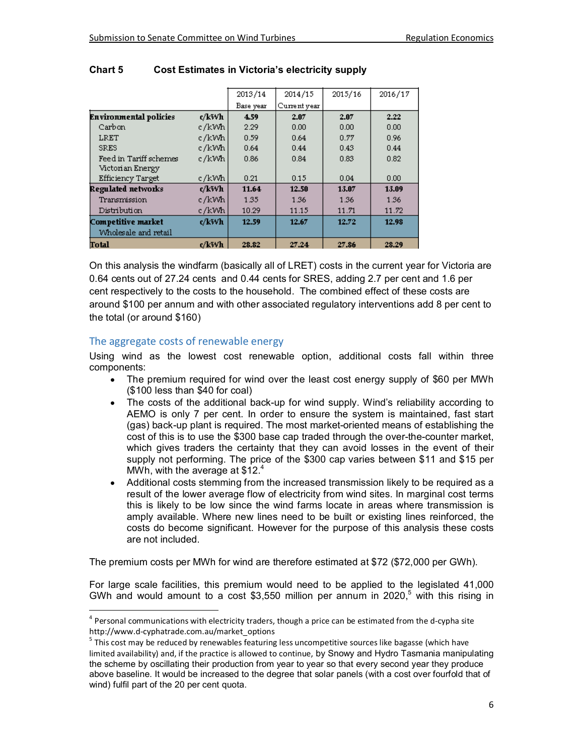|                               |       | 2013/14   | 2014/15      | 2015/16 | 2016/17 |
|-------------------------------|-------|-----------|--------------|---------|---------|
|                               |       | Base year | Current year |         |         |
| <b>Environmental policies</b> | c/kWh | 4.59      | 2.07         | 2.07    | 2.22    |
| Carbon                        | c/kWh | 2.29      | 0.00         | 0.00    | 0.00    |
| LRET                          | c/kWh | 0.59      | 0.64         | 0.77    | 0.96    |
| <b>SRES</b>                   | c/kWh | 0.64      | 0.44         | 0.43    | 0.44    |
| Feed in Tariff schemes        | c/kWh | 0.86      | 0.84         | 0.83    | 0.82    |
| Victorian Energy              |       |           |              |         |         |
| <b>Efficiency Target</b>      | c/kWh | 0.21      | 0.15         | 0.04    | 0.00    |
| Regulated networks            | c/kWh | 11.64     | 12.50        | 13.07   | 13.09   |
| Transmission                  | c/kWh | 1.35      | 1.36         | 1.36    | 1.36    |
| Distribution                  | c/kWh | 10.29     | 11.15        | 11.71   | 11.72   |
| Competitive market            | c/kWh | 12.59     | 12.67        | 12.72   | 12.98   |
| Wholesale and retail          |       |           |              |         |         |
| Total                         | c/kWh | 28.82     | 27.24        | 27.86   | 28.29   |

## **Chart 5 Cost Estimates in Victoria's electricity supply**

On this analysis the windfarm (basically all of LRET) costs in the current year for Victoria are 0.64 cents out of 27.24 cents and 0.44 cents for SRES, adding 2.7 per cent and 1.6 per cent respectively to the costs to the household. The combined effect of these costs are around \$100 per annum and with other associated regulatory interventions add 8 per cent to the total (or around \$160)

## The aggregate costs of renewable energy

1

Using wind as the lowest cost renewable option, additional costs fall within three components:

- The premium required for wind over the least cost energy supply of \$60 per MWh (\$100 less than \$40 for coal)
- The costs of the additional back-up for wind supply. Wind's reliability according to AEMO is only 7 per cent. In order to ensure the system is maintained, fast start (gas) back-up plant is required. The most market-oriented means of establishing the cost of this is to use the \$300 base cap traded through the over-the-counter market, which gives traders the certainty that they can avoid losses in the event of their supply not performing. The price of the \$300 cap varies between \$11 and \$15 per MWh, with the average at  $$12<sup>4</sup>$
- Additional costs stemming from the increased transmission likely to be required as a result of the lower average flow of electricity from wind sites. In marginal cost terms this is likely to be low since the wind farms locate in areas where transmission is amply available. Where new lines need to be built or existing lines reinforced, the costs do become significant. However for the purpose of this analysis these costs are not included.

The premium costs per MWh for wind are therefore estimated at \$72 (\$72,000 per GWh).

For large scale facilities, this premium would need to be applied to the legislated 41,000 GWh and would amount to a cost \$3,550 million per annum in 2020,<sup>5</sup> with this rising in

<sup>&</sup>lt;sup>4</sup> Personal communications with electricity traders, though a price can be estimated from the d-cypha site http://www.d-cyphatrade.com.au/market\_options

<sup>&</sup>lt;sup>5</sup> This cost may be reduced by renewables featuring less uncompetitive sources like bagasse (which have limited availability) and, if the practice is allowed to continue, by Snowy and Hydro Tasmania manipulating the scheme by oscillating their production from year to year so that every second year they produce above baseline. It would be increased to the degree that solar panels (with a cost over fourfold that of wind) fulfil part of the 20 per cent quota.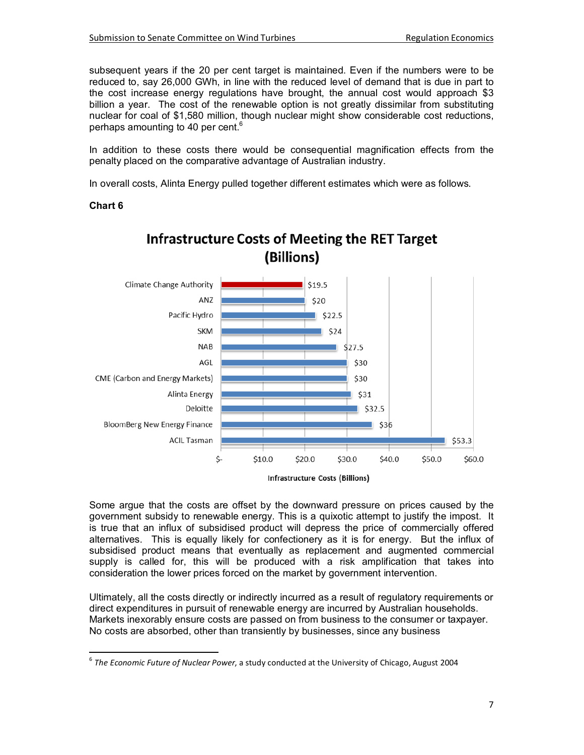subsequent years if the 20 per cent target is maintained. Even if the numbers were to be reduced to, say 26,000 GWh, in line with the reduced level of demand that is due in part to the cost increase energy regulations have brought, the annual cost would approach \$3 billion a year. The cost of the renewable option is not greatly dissimilar from substituting nuclear for coal of \$1,580 million, though nuclear might show considerable cost reductions, perhaps amounting to 40 per cent.<sup>6</sup>

In addition to these costs there would be consequential magnification effects from the penalty placed on the comparative advantage of Australian industry.

In overall costs, Alinta Energy pulled together different estimates which were as follows.

## **Chart 6**

l,



**Infrastructure Costs of Meeting the RET Target** (Billions)

Some argue that the costs are offset by the downward pressure on prices caused by the government subsidy to renewable energy. This is a quixotic attempt to justify the impost. It is true that an influx of subsidised product will depress the price of commercially offered alternatives. This is equally likely for confectionery as it is for energy. But the influx of subsidised product means that eventually as replacement and augmented commercial supply is called for, this will be produced with a risk amplification that takes into consideration the lower prices forced on the market by government intervention.

Ultimately, all the costs directly or indirectly incurred as a result of regulatory requirements or direct expenditures in pursuit of renewable energy are incurred by Australian households. Markets inexorably ensure costs are passed on from business to the consumer or taxpayer. No costs are absorbed, other than transiently by businesses, since any business

<sup>6</sup> *The Economic Future of Nuclear Power*, a study conducted at the University of Chicago, August 2004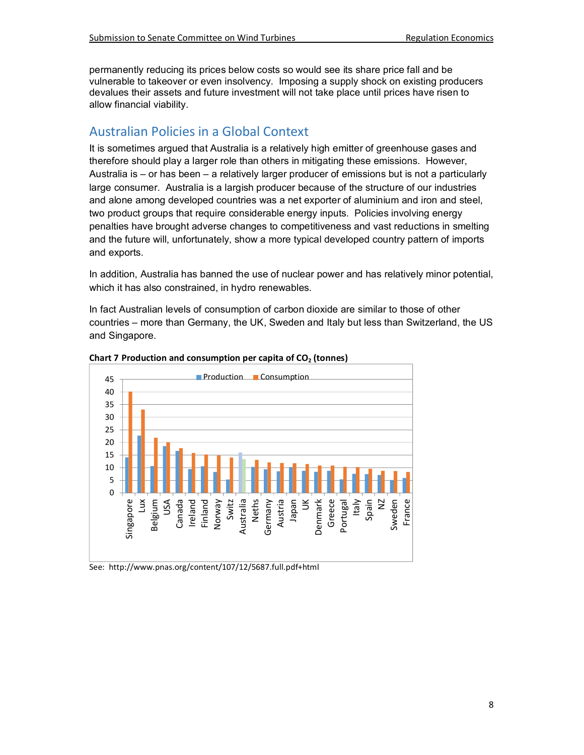permanently reducing its prices below costs so would see its share price fall and be vulnerable to takeover or even insolvency. Imposing a supply shock on existing producers devalues their assets and future investment will not take place until prices have risen to allow financial viability.

## Australian Policies in a Global Context

It is sometimes argued that Australia is a relatively high emitter of greenhouse gases and therefore should play a larger role than others in mitigating these emissions. However, Australia is – or has been – a relatively larger producer of emissions but is not a particularly large consumer. Australia is a largish producer because of the structure of our industries and alone among developed countries was a net exporter of aluminium and iron and steel, two product groups that require considerable energy inputs. Policies involving energy penalties have brought adverse changes to competitiveness and vast reductions in smelting and the future will, unfortunately, show a more typical developed country pattern of imports and exports.

In addition, Australia has banned the use of nuclear power and has relatively minor potential, which it has also constrained, in hydro renewables.

In fact Australian levels of consumption of carbon dioxide are similar to those of other countries – more than Germany, the UK, Sweden and Italy but less than Switzerland, the US and Singapore.





See: http://www.pnas.org/content/107/12/5687.full.pdf+html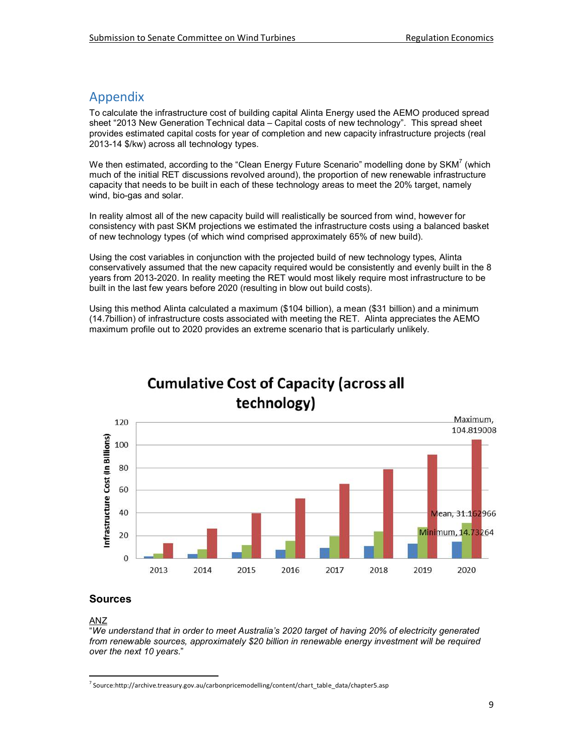## Appendix

To calculate the infrastructure cost of building capital Alinta Energy used the AEMO produced spread sheet "2013 New Generation Technical data – Capital costs of new technology". This spread sheet provides estimated capital costs for year of completion and new capacity infrastructure projects (real 2013-14 \$/kw) across all technology types.

We then estimated, according to the "Clean Energy Future Scenario" modelling done by SKM<sup>7</sup> (which much of the initial RET discussions revolved around), the proportion of new renewable infrastructure capacity that needs to be built in each of these technology areas to meet the 20% target, namely wind, bio-gas and solar.

In reality almost all of the new capacity build will realistically be sourced from wind, however for consistency with past SKM projections we estimated the infrastructure costs using a balanced basket of new technology types (of which wind comprised approximately 65% of new build).

Using the cost variables in conjunction with the projected build of new technology types, Alinta conservatively assumed that the new capacity required would be consistently and evenly built in the 8 years from 2013-2020. In reality meeting the RET would most likely require most infrastructure to be built in the last few years before 2020 (resulting in blow out build costs).

Using this method Alinta calculated a maximum (\$104 billion), a mean (\$31 billion) and a minimum (14.7billion) of infrastructure costs associated with meeting the RET. Alinta appreciates the AEMO maximum profile out to 2020 provides an extreme scenario that is particularly unlikely.



# **Cumulative Cost of Capacity (across all**

## **Sources**

## ANZ

 $\overline{a}$ 

"*We understand that in order to meet Australia's 2020 target of having 20% of electricity generated from renewable sources, approximately \$20 billion in renewable energy investment will be required over the next 10 years*."

<sup>&</sup>lt;sup>7</sup> Source:http://archive.treasury.gov.au/carbonpricemodelling/content/chart\_table\_data/chapter5.asp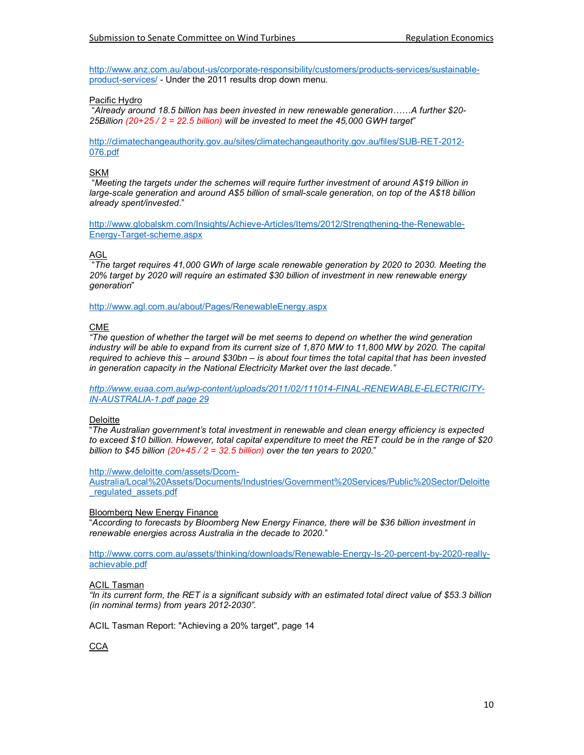http://www.anz.com.au/about-us/corporate-responsibility/customers/products-services/sustainableproduct-services/ - Under the 2011 results drop down menu.

Pacific Hydro

 "*Already around 18.5 billion has been invested in new renewable generation……A further \$20- [25Billion \(20+25 / 2 = 22.5 billion\) will be invested to meet the 45,000 GWH target](http://climatechangeauthority.gov.au/sites/climatechangeauthority.gov.au/files/SUB-RET-2012-076.pdf)*"

http://climatechangeauthority.gov.au/sites/climatechangeauthority.gov.au/files/SUB-RET-2012- 076.pdf

#### SKM

 "*Meeting the targets under the schemes will require further investment of around A\$19 billion in large-scale generation and around A\$5 billion of small-scale generation, on top of the A\$18 billion [already spent/invested](http://www.globalskm.com/Insights/Achieve-Articles/Items/2012/Strengthening-the-Renewable-Energy-Target-scheme.aspx)*."

[http://www.globalskm.com/I](http://www.globalskm.com/Insights/Achieve-Articles/Items/2012/Strengthening-the-Renewable-Energy-Target-scheme.aspx)nsights/Achieve-Articles/Items/2012/Strengthening-the-Renewable-Energy-Target-scheme.aspx

#### AGL

 "*The target requires 41,000 GWh of large scale renewable generation by 2020 to 2030. Meeting the 20% target by 2020 will require an estimated \$30 billion of investment in new renewable energy generation*"

<http://www.agl.com.au/about/Pages/RenewableEnergy.aspx>

#### CME

*"The question of whether the target will be met seems to depend on whether the wind generation*  industry will be able to expand from its current size of 1,870 MW to 11,800 MW by 2020. The capital *required to achieve this – around \$30bn – is about four times the total capital that has been invested in generation capacity in the National Electricity Market over the last decade."* 

*[http://www.euaa.com.au/wp-content/uploads/2011/02/111014-FINAL-RENEWABLE-ELECTRICITY-](http://www.euaa.com.au/wp-content/uploads/2011/02/111014-FINAL-RENEWABLE-ELECTRICITY-IN-AUSTRALIA-1.pdf%20page%2029)[IN-AUSTRALIA-1.pdf page 2](http://www.euaa.com.au/wp-content/uploads/2011/02/111014-FINAL-RENEWABLE-ELECTRICITY-IN-AUSTRALIA-1.pdf%20page%2029)9*

#### **Deloitte**

"*The Australian government's total investment in renewable and clean energy efficiency is expected to exceed \$10 billion. However, total capital expenditure to meet the RET could be in the range of \$20 billion to \$45 billion (20+45 / 2 = 32.5 billion) over the ten years to 2020*."

#### http://www.deloitte.com/assets/Dcom-

[Australia/Local%20Assets/Documents/Industries/Government%20Services/Public%20Sector/Deloitte](http://www.deloitte.com/assets/Dcom-Australia/Local%20Assets/Documents/Industries/Government%20Services/Public%20Sector/Deloitte_regulated_assets.pdf) [\\_regulated\\_assets.pdf](http://www.deloitte.com/assets/Dcom-Australia/Local%20Assets/Documents/Industries/Government%20Services/Public%20Sector/Deloitte_regulated_assets.pdf)

#### [Bloomberg New Ene](http://www.deloitte.com/assets/Dcom-Australia/Local%20Assets/Documents/Industries/Government%20Services/Public%20Sector/Deloitte_regulated_assets.pdf)rgy Finance

"*According to forecasts by Bloomberg New Energy Finance, there will be \$36 billion investment in renewable energies across Australia in the decade to 2020*."

http://www.corrs.com.au/assets/thinking/downloads/Renewable-Energy-Is-20-percent-by-2020-really[achievable.pdf](http://www.corrs.com.au/assets/thinking/downloads/Renewable-Energy-Is-20-percent-by-2020-really-achievable.pdf)

#### [ACIL Tasma](http://www.corrs.com.au/assets/thinking/downloads/Renewable-Energy-Is-20-percent-by-2020-really-achievable.pdf)n

*"In its current form, the RET is a significant subsidy with an estimated total direct value of \$53.3 billion (in nominal terms) from years 2012-2030".* 

ACIL Tasman Report: "Achieving a 20% target", page 14

**CCA**